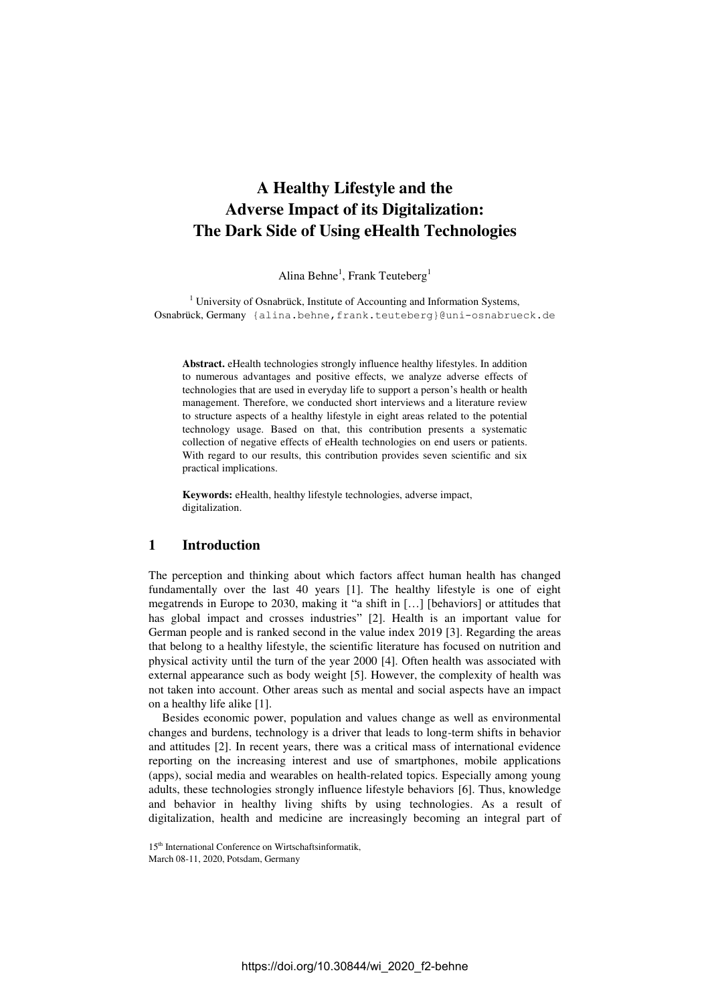# **A Healthy Lifestyle and the Adverse Impact of its Digitalization: The Dark Side of Using eHealth Technologies**

Alina Behne<sup>1</sup>, Frank Teuteberg<sup>1</sup>

<sup>1</sup> University of Osnabrück, Institute of Accounting and Information Systems, Osnabrück, Germany [{alina.behne,frank.teuteberg}@uni-osnabrueck.de](mailto:%20%7balina.behne,frank.teuteberg@uni-osnabrueck.de)

**Abstract.** eHealth technologies strongly influence healthy lifestyles. In addition to numerous advantages and positive effects, we analyze adverse effects of technologies that are used in everyday life to support a person's health or health management. Therefore, we conducted short interviews and a literature review to structure aspects of a healthy lifestyle in eight areas related to the potential technology usage. Based on that, this contribution presents a systematic collection of negative effects of eHealth technologies on end users or patients. With regard to our results, this contribution provides seven scientific and six practical implications.

**Keywords:** eHealth, healthy lifestyle technologies, adverse impact, digitalization.

## **1 Introduction**

The perception and thinking about which factors affect human health has changed fundamentally over the last 40 years [1]. The healthy lifestyle is one of eight megatrends in Europe to 2030, making it "a shift in […] [behaviors] or attitudes that has global impact and crosses industries" [2]. Health is an important value for German people and is ranked second in the value index 2019 [3]. Regarding the areas that belong to a healthy lifestyle, the scientific literature has focused on nutrition and physical activity until the turn of the year 2000 [4]. Often health was associated with external appearance such as body weight [5]. However, the complexity of health was not taken into account. Other areas such as mental and social aspects have an impact on a healthy life alike [1].

Besides economic power, population and values change as well as environmental changes and burdens, technology is a driver that leads to long-term shifts in behavior and attitudes [2]. In recent years, there was a critical mass of international evidence reporting on the increasing interest and use of smartphones, mobile applications (apps), social media and wearables on health-related topics. Especially among young adults, these technologies strongly influence lifestyle behaviors [6]. Thus, knowledge and behavior in healthy living shifts by using technologies. As a result of digitalization, health and medicine are increasingly becoming an integral part of

<sup>15&</sup>lt;sup>th</sup> International Conference on Wirtschaftsinformatik,

March 08-11, 2020, Potsdam, Germany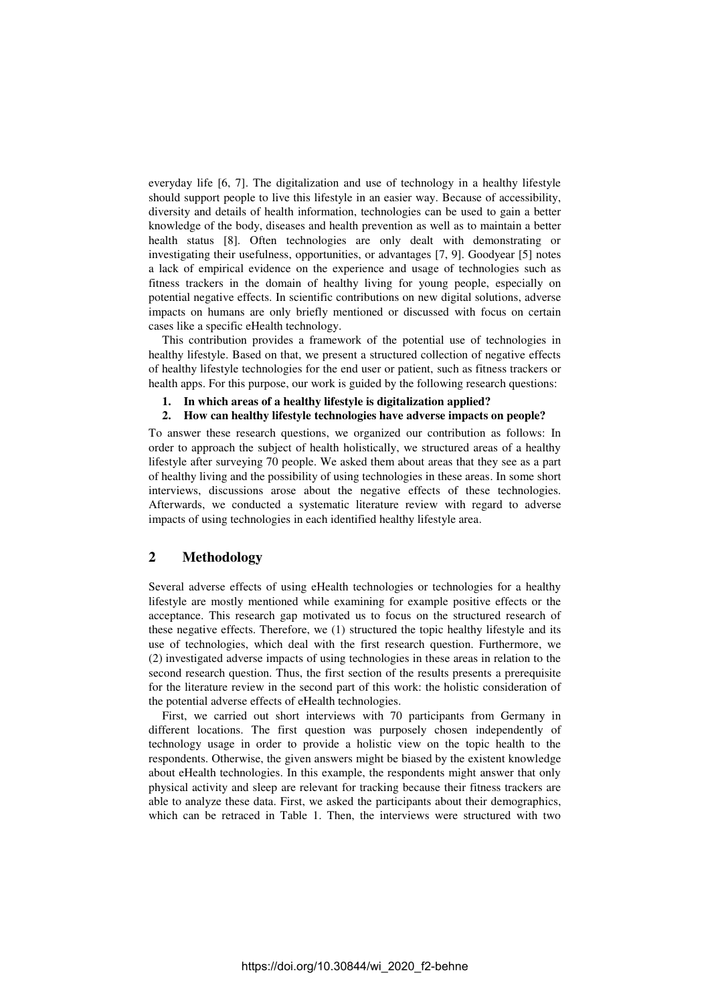everyday life [6, 7]. The digitalization and use of technology in a healthy lifestyle should support people to live this lifestyle in an easier way. Because of accessibility, diversity and details of health information, technologies can be used to gain a better knowledge of the body, diseases and health prevention as well as to maintain a better health status [8]. Often technologies are only dealt with demonstrating or investigating their usefulness, opportunities, or advantages [7, 9]. Goodyear [5] notes a lack of empirical evidence on the experience and usage of technologies such as fitness trackers in the domain of healthy living for young people, especially on potential negative effects. In scientific contributions on new digital solutions, adverse impacts on humans are only briefly mentioned or discussed with focus on certain cases like a specific eHealth technology.

This contribution provides a framework of the potential use of technologies in healthy lifestyle. Based on that, we present a structured collection of negative effects of healthy lifestyle technologies for the end user or patient, such as fitness trackers or health apps. For this purpose, our work is guided by the following research questions:

- **1. In which areas of a healthy lifestyle is digitalization applied?**
- **2. How can healthy lifestyle technologies have adverse impacts on people?**

To answer these research questions, we organized our contribution as follows: In order to approach the subject of health holistically, we structured areas of a healthy lifestyle after surveying 70 people. We asked them about areas that they see as a part of healthy living and the possibility of using technologies in these areas. In some short interviews, discussions arose about the negative effects of these technologies. Afterwards, we conducted a systematic literature review with regard to adverse impacts of using technologies in each identified healthy lifestyle area.

# **2 Methodology**

Several adverse effects of using eHealth technologies or technologies for a healthy lifestyle are mostly mentioned while examining for example positive effects or the acceptance. This research gap motivated us to focus on the structured research of these negative effects. Therefore, we (1) structured the topic healthy lifestyle and its use of technologies, which deal with the first research question. Furthermore, we (2) investigated adverse impacts of using technologies in these areas in relation to the second research question. Thus, the first section of the results presents a prerequisite for the literature review in the second part of this work: the holistic consideration of the potential adverse effects of eHealth technologies.

First, we carried out short interviews with 70 participants from Germany in different locations. The first question was purposely chosen independently of technology usage in order to provide a holistic view on the topic health to the respondents. Otherwise, the given answers might be biased by the existent knowledge about eHealth technologies. In this example, the respondents might answer that only physical activity and sleep are relevant for tracking because their fitness trackers are able to analyze these data. First, we asked the participants about their demographics, which can be retraced in [Table 1.](#page-2-0) Then, the interviews were structured with two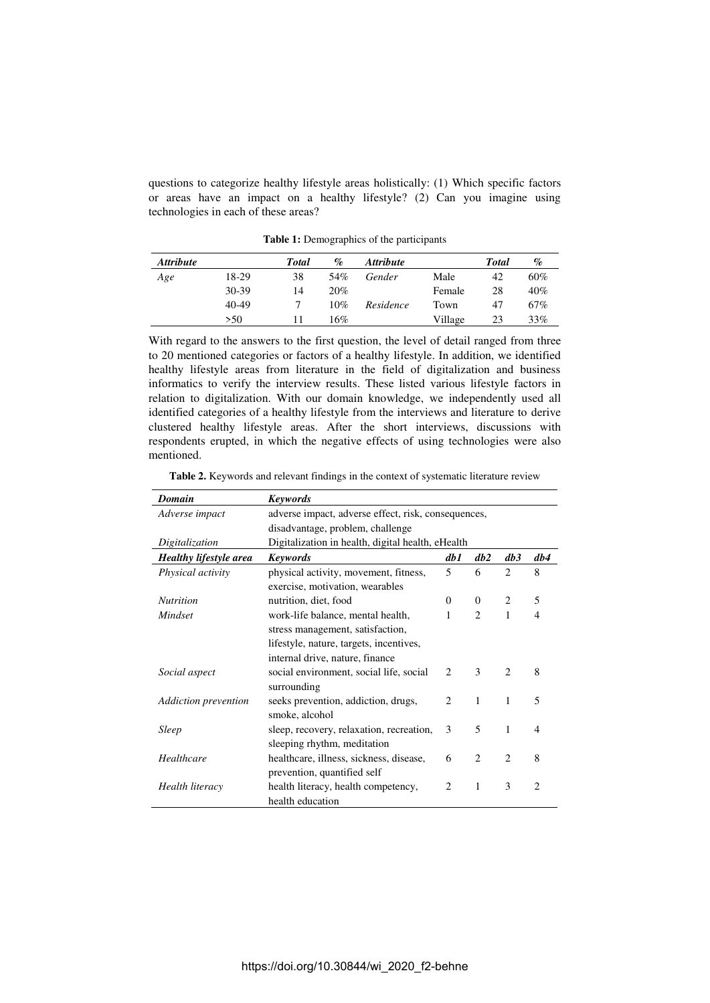questions to categorize healthy lifestyle areas holistically: (1) Which specific factors or areas have an impact on a healthy lifestyle? (2) Can you imagine using technologies in each of these areas?

<span id="page-2-0"></span>

| <b>Attribute</b> |       | Total | $\%$ | <i><b>Attribute</b></i> |         | <b>Total</b> | $\%$   |
|------------------|-------|-------|------|-------------------------|---------|--------------|--------|
| Age              | 18-29 | 38    | 54%  | Gender                  | Male    | 42           | $60\%$ |
|                  | 30-39 | 14    | 20%  |                         | Female  | 28           | 40%    |
|                  | 40-49 |       | 10%  | Residence               | Town    | 47           | 67%    |
|                  | >50   |       | 16%  |                         | Village | 23           | 33%    |

**Table 1:** Demographics of the participants

With regard to the answers to the first question, the level of detail ranged from three to 20 mentioned categories or factors of a healthy lifestyle. In addition, we identified healthy lifestyle areas from literature in the field of digitalization and business informatics to verify the interview results. These listed various lifestyle factors in relation to digitalization. With our domain knowledge, we independently used all identified categories of a healthy lifestyle from the interviews and literature to derive clustered healthy lifestyle areas. After the short interviews, discussions with respondents erupted, in which the negative effects of using technologies were also mentioned.

<span id="page-2-1"></span>

| <b>Table 2.</b> Keywords and relevant findings in the context of systematic literature review |
|-----------------------------------------------------------------------------------------------|
|-----------------------------------------------------------------------------------------------|

| Domain                 | <b>Keywords</b>                                     |                             |                             |                             |                |
|------------------------|-----------------------------------------------------|-----------------------------|-----------------------------|-----------------------------|----------------|
| Adverse impact         | adverse impact, adverse effect, risk, consequences, |                             |                             |                             |                |
|                        | disadvantage, problem, challenge                    |                             |                             |                             |                |
| Digitalization         | Digitalization in health, digital health, eHealth   |                             |                             |                             |                |
| Healthy lifestyle area | <b>Keywords</b>                                     | db 1                        | db2                         | db3                         | db4            |
| Physical activity      | physical activity, movement, fitness,               | 5                           | 6                           | 2                           | 8              |
|                        | exercise, motivation, wearables                     |                             |                             |                             |                |
| <b>Nutrition</b>       | nutrition, diet, food                               | $\Omega$                    | $\Omega$                    | 2                           | 5              |
| Mindset                | work-life balance, mental health,                   | 1                           | $\overline{c}$              | 1                           | 4              |
|                        | stress management, satisfaction,                    |                             |                             |                             |                |
|                        | lifestyle, nature, targets, incentives,             |                             |                             |                             |                |
|                        | internal drive, nature, finance                     |                             |                             |                             |                |
| Social aspect          | social environment, social life, social             | $\mathfrak{D}$              | 3                           | $\mathcal{D}_{\mathcal{L}}$ | 8              |
|                        | surrounding                                         |                             |                             |                             |                |
| Addiction prevention   | seeks prevention, addiction, drugs,                 | $\mathcal{D}_{\mathcal{L}}$ | 1                           | 1                           | 5              |
|                        | smoke, alcohol                                      |                             |                             |                             |                |
| <b>Sleep</b>           | sleep, recovery, relaxation, recreation,            | 3                           | 5                           | 1                           | 4              |
|                        | sleeping rhythm, meditation                         |                             |                             |                             |                |
| Healthcare             | healthcare, illness, sickness, disease,             | 6                           | $\mathcal{D}_{\mathcal{L}}$ | $\mathcal{D}_{\mathcal{L}}$ | 8              |
|                        | prevention, quantified self                         |                             |                             |                             |                |
| Health literacy        | health literacy, health competency,                 | $\mathfrak{D}$              | 1                           | 3                           | $\mathfrak{D}$ |
|                        | health education                                    |                             |                             |                             |                |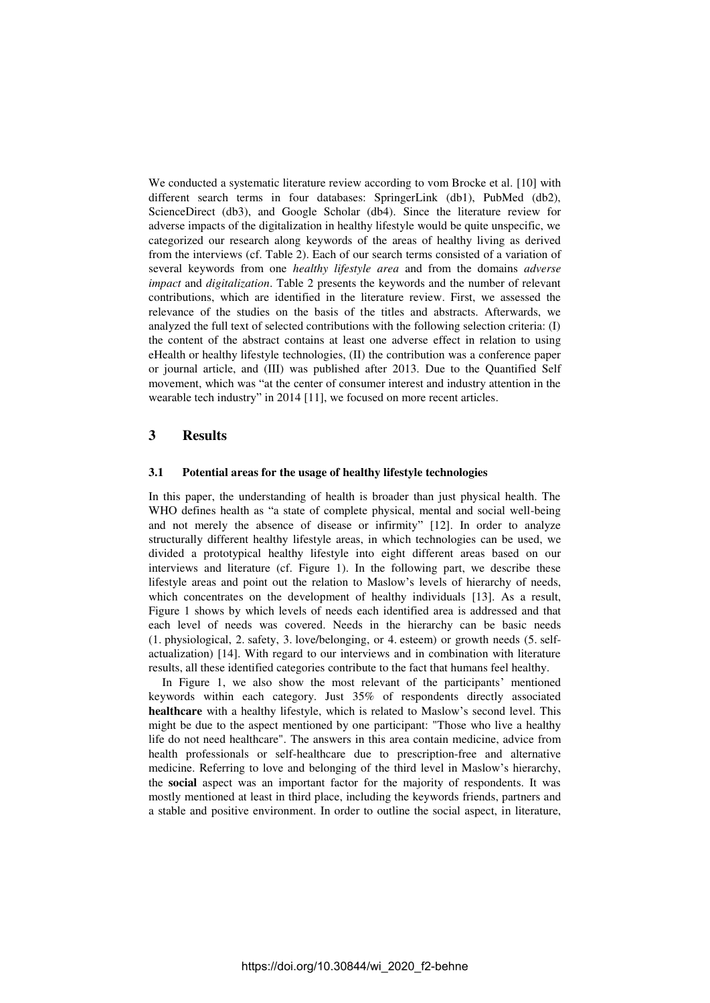We conducted a systematic literature review according to vom Brocke et al. [10] with different search terms in four databases: SpringerLink (db1), PubMed (db2), ScienceDirect (db3), and Google Scholar (db4). Since the literature review for adverse impacts of the digitalization in healthy lifestyle would be quite unspecific, we categorized our research along keywords of the areas of healthy living as derived from the interviews (cf. [Table 2\)](#page-2-1). Each of our search terms consisted of a variation of several keywords from one *healthy lifestyle area* and from the domains *adverse impact* and *digitalization*. [Table 2](#page-2-1) presents the keywords and the number of relevant contributions, which are identified in the literature review. First, we assessed the relevance of the studies on the basis of the titles and abstracts. Afterwards, we analyzed the full text of selected contributions with the following selection criteria: (I) the content of the abstract contains at least one adverse effect in relation to using eHealth or healthy lifestyle technologies, (II) the contribution was a conference paper or journal article, and (III) was published after 2013. Due to the Quantified Self movement, which was "at the center of consumer interest and industry attention in the wearable tech industry" in 2014 [11], we focused on more recent articles.

# **3 Results**

### **3.1 Potential areas for the usage of healthy lifestyle technologies**

In this paper, the understanding of health is broader than just physical health. The WHO defines health as "a state of complete physical, mental and social well-being and not merely the absence of disease or infirmity" [12]. In order to analyze structurally different healthy lifestyle areas, in which technologies can be used, we divided a prototypical healthy lifestyle into eight different areas based on our interviews and literature (cf. [Figure 1\)](#page-4-0). In the following part, we describe these lifestyle areas and point out the relation to Maslow's levels of hierarchy of needs, which concentrates on the development of healthy individuals [13]. As a result, [Figure 1](#page-4-0) shows by which levels of needs each identified area is addressed and that each level of needs was covered. Needs in the hierarchy can be basic needs (1. physiological, 2. safety, 3. love/belonging, or 4. esteem) or growth needs (5. selfactualization) [14]. With regard to our interviews and in combination with literature results, all these identified categories contribute to the fact that humans feel healthy.

In [Figure 1,](#page-4-0) we also show the most relevant of the participants' mentioned keywords within each category. Just 35% of respondents directly associated **healthcare** with a healthy lifestyle, which is related to Maslow's second level. This might be due to the aspect mentioned by one participant: "Those who live a healthy life do not need healthcare". The answers in this area contain medicine, advice from health professionals or self-healthcare due to prescription-free and alternative medicine. Referring to love and belonging of the third level in Maslow's hierarchy, the **social** aspect was an important factor for the majority of respondents. It was mostly mentioned at least in third place, including the keywords friends, partners and a stable and positive environment. In order to outline the social aspect, in literature,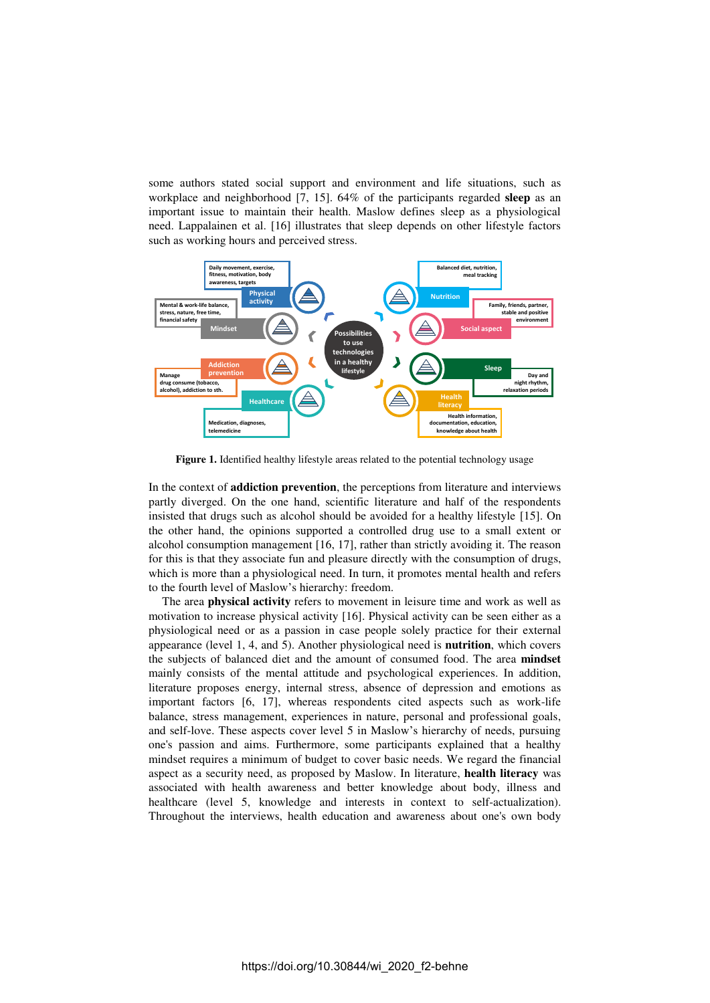some authors stated social support and environment and life situations, such as workplace and neighborhood [7, 15]. 64% of the participants regarded **sleep** as an important issue to maintain their health. Maslow defines sleep as a physiological need. Lappalainen et al. [16] illustrates that sleep depends on other lifestyle factors such as working hours and perceived stress.



<span id="page-4-0"></span>**Figure 1.** Identified healthy lifestyle areas related to the potential technology usage

In the context of **addiction prevention**, the perceptions from literature and interviews partly diverged. On the one hand, scientific literature and half of the respondents insisted that drugs such as alcohol should be avoided for a healthy lifestyle [15]. On the other hand, the opinions supported a controlled drug use to a small extent or alcohol consumption management [16, 17], rather than strictly avoiding it. The reason for this is that they associate fun and pleasure directly with the consumption of drugs, which is more than a physiological need. In turn, it promotes mental health and refers to the fourth level of Maslow's hierarchy: freedom.

The area **physical activity** refers to movement in leisure time and work as well as motivation to increase physical activity [16]. Physical activity can be seen either as a physiological need or as a passion in case people solely practice for their external appearance (level 1, 4, and 5). Another physiological need is **nutrition**, which covers the subjects of balanced diet and the amount of consumed food. The area **mindset** mainly consists of the mental attitude and psychological experiences. In addition, literature proposes energy, internal stress, absence of depression and emotions as important factors [6, 17], whereas respondents cited aspects such as work-life balance, stress management, experiences in nature, personal and professional goals, and self-love. These aspects cover level 5 in Maslow's hierarchy of needs, pursuing one's passion and aims. Furthermore, some participants explained that a healthy mindset requires a minimum of budget to cover basic needs. We regard the financial aspect as a security need, as proposed by Maslow. In literature, **health literacy** was associated with health awareness and better knowledge about body, illness and healthcare (level 5, knowledge and interests in context to self-actualization). Throughout the interviews, health education and awareness about one's own body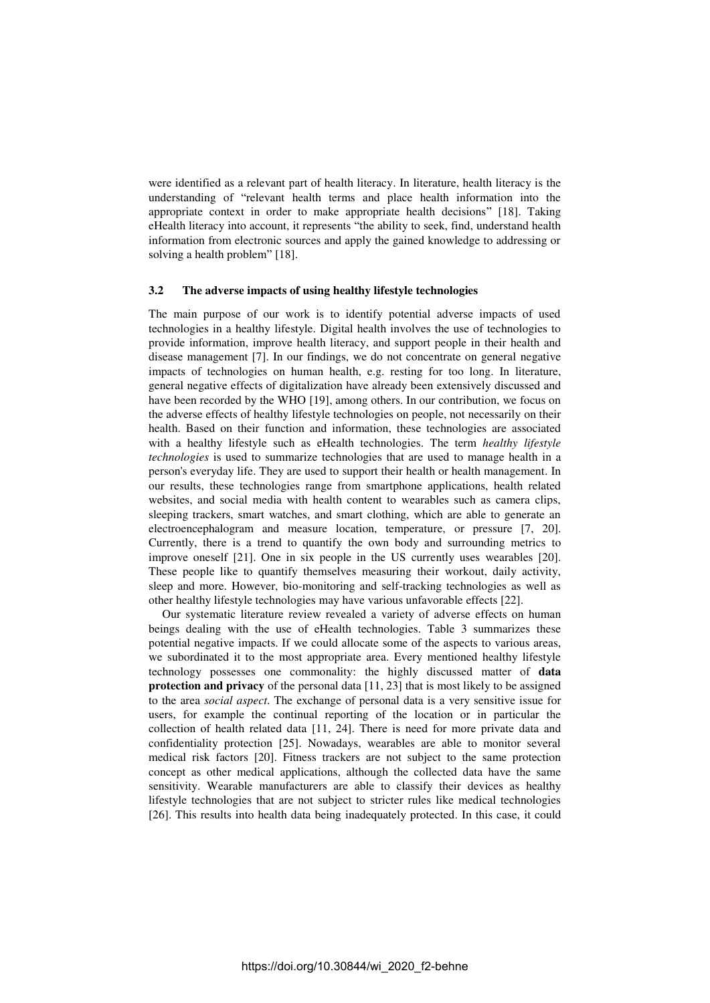were identified as a relevant part of health literacy. In literature, health literacy is the understanding of "relevant health terms and place health information into the appropriate context in order to make appropriate health decisions" [18]. Taking eHealth literacy into account, it represents "the ability to seek, find, understand health information from electronic sources and apply the gained knowledge to addressing or solving a health problem" [18].

#### **3.2 The adverse impacts of using healthy lifestyle technologies**

The main purpose of our work is to identify potential adverse impacts of used technologies in a healthy lifestyle. Digital health involves the use of technologies to provide information, improve health literacy, and support people in their health and disease management [7]. In our findings, we do not concentrate on general negative impacts of technologies on human health, e.g. resting for too long. In literature, general negative effects of digitalization have already been extensively discussed and have been recorded by the WHO [19], among others. In our contribution, we focus on the adverse effects of healthy lifestyle technologies on people, not necessarily on their health. Based on their function and information, these technologies are associated with a healthy lifestyle such as eHealth technologies. The term *healthy lifestyle technologies* is used to summarize technologies that are used to manage health in a person's everyday life. They are used to support their health or health management. In our results, these technologies range from smartphone applications, health related websites, and social media with health content to wearables such as camera clips, sleeping trackers, smart watches, and smart clothing, which are able to generate an electroencephalogram and measure location, temperature, or pressure [7, 20]. Currently, there is a trend to quantify the own body and surrounding metrics to improve oneself [21]. One in six people in the US currently uses wearables [20]. These people like to quantify themselves measuring their workout, daily activity, sleep and more. However, bio-monitoring and self-tracking technologies as well as other healthy lifestyle technologies may have various unfavorable effects [22].

Our systematic literature review revealed a variety of adverse effects on human beings dealing with the use of eHealth technologies. [Table 3](#page-7-0) summarizes these potential negative impacts. If we could allocate some of the aspects to various areas, we subordinated it to the most appropriate area. Every mentioned healthy lifestyle technology possesses one commonality: the highly discussed matter of **data protection and privacy** of the personal data [11, 23] that is most likely to be assigned to the area *social aspect*. The exchange of personal data is a very sensitive issue for users, for example the continual reporting of the location or in particular the collection of health related data [11, 24]. There is need for more private data and confidentiality protection [25]. Nowadays, wearables are able to monitor several medical risk factors [20]. Fitness trackers are not subject to the same protection concept as other medical applications, although the collected data have the same sensitivity. Wearable manufacturers are able to classify their devices as healthy lifestyle technologies that are not subject to stricter rules like medical technologies [26]. This results into health data being inadequately protected. In this case, it could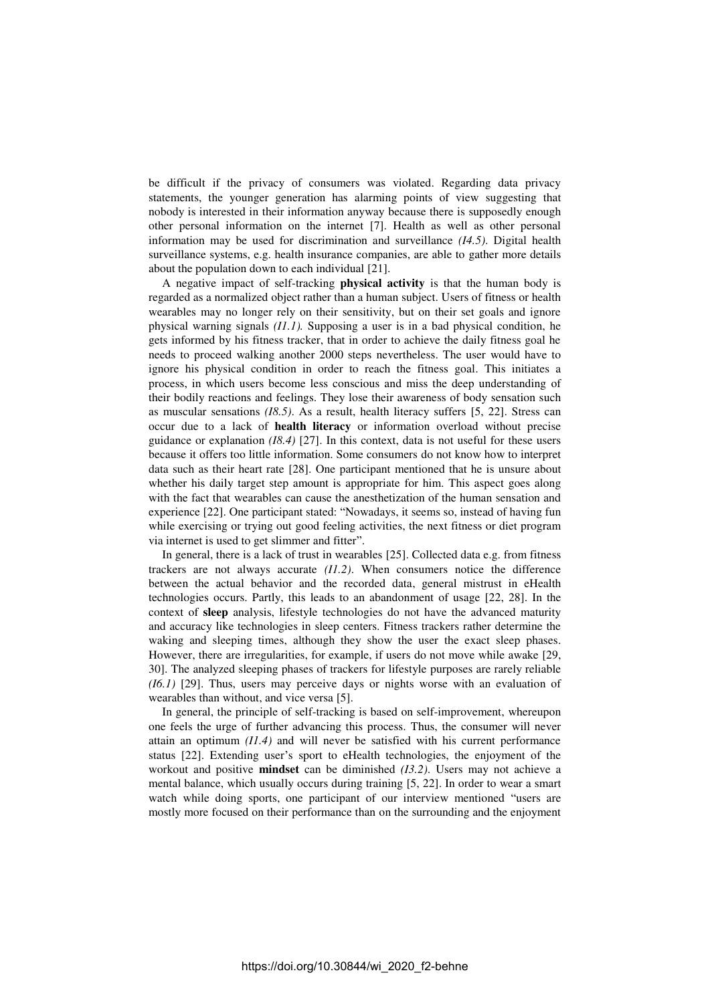be difficult if the privacy of consumers was violated. Regarding data privacy statements, the younger generation has alarming points of view suggesting that nobody is interested in their information anyway because there is supposedly enough other personal information on the internet [7]. Health as well as other personal information may be used for discrimination and surveillance *(I4.5)*. Digital health surveillance systems, e.g. health insurance companies, are able to gather more details about the population down to each individual [21].

A negative impact of self-tracking **physical activity** is that the human body is regarded as a normalized object rather than a human subject. Users of fitness or health wearables may no longer rely on their sensitivity, but on their set goals and ignore physical warning signals *(I1.1).* Supposing a user is in a bad physical condition, he gets informed by his fitness tracker, that in order to achieve the daily fitness goal he needs to proceed walking another 2000 steps nevertheless. The user would have to ignore his physical condition in order to reach the fitness goal. This initiates a process, in which users become less conscious and miss the deep understanding of their bodily reactions and feelings. They lose their awareness of body sensation such as muscular sensations *(I8.5)*. As a result, health literacy suffers [5, 22]. Stress can occur due to a lack of **health literacy** or information overload without precise guidance or explanation *(I8.4)* [27]. In this context, data is not useful for these users because it offers too little information. Some consumers do not know how to interpret data such as their heart rate [28]. One participant mentioned that he is unsure about whether his daily target step amount is appropriate for him. This aspect goes along with the fact that wearables can cause the anesthetization of the human sensation and experience [22]. One participant stated: "Nowadays, it seems so, instead of having fun while exercising or trying out good feeling activities, the next fitness or diet program via internet is used to get slimmer and fitter".

In general, there is a lack of trust in wearables [25]. Collected data e.g. from fitness trackers are not always accurate *(I1.2)*. When consumers notice the difference between the actual behavior and the recorded data, general mistrust in eHealth technologies occurs. Partly, this leads to an abandonment of usage [22, 28]. In the context of **sleep** analysis, lifestyle technologies do not have the advanced maturity and accuracy like technologies in sleep centers. Fitness trackers rather determine the waking and sleeping times, although they show the user the exact sleep phases. However, there are irregularities, for example, if users do not move while awake [29, 30]. The analyzed sleeping phases of trackers for lifestyle purposes are rarely reliable *(I6.1)* [29]. Thus, users may perceive days or nights worse with an evaluation of wearables than without, and vice versa [5].

In general, the principle of self-tracking is based on self-improvement, whereupon one feels the urge of further advancing this process. Thus, the consumer will never attain an optimum *(I1.4)* and will never be satisfied with his current performance status [22]. Extending user's sport to eHealth technologies, the enjoyment of the workout and positive **mindset** can be diminished *(I3.2)*. Users may not achieve a mental balance, which usually occurs during training [5, 22]. In order to wear a smart watch while doing sports, one participant of our interview mentioned "users are mostly more focused on their performance than on the surrounding and the enjoyment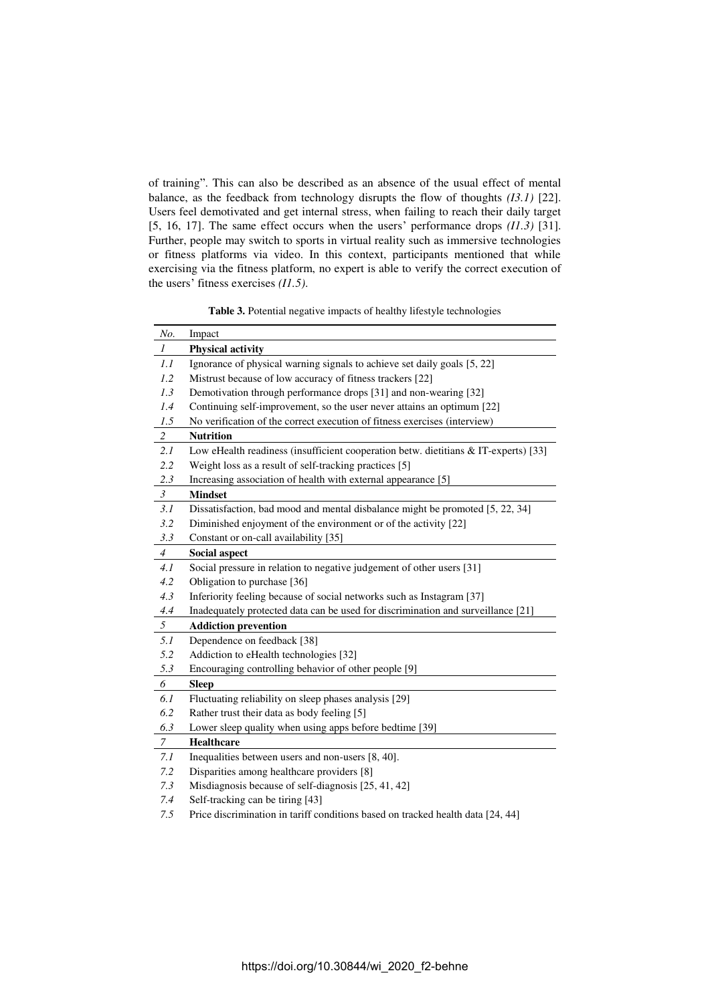of training". This can also be described as an absence of the usual effect of mental balance, as the feedback from technology disrupts the flow of thoughts *(I3.1)* [22]. Users feel demotivated and get internal stress, when failing to reach their daily target [5, 16, 17]. The same effect occurs when the users' performance drops *(I1.3)* [31]. Further, people may switch to sports in virtual reality such as immersive technologies or fitness platforms via video. In this context, participants mentioned that while exercising via the fitness platform, no expert is able to verify the correct execution of the users' fitness exercises *(I1.5)*.

**Table 3.** Potential negative impacts of healthy lifestyle technologies

<span id="page-7-0"></span>

| No.            | Impact                                                                              |
|----------------|-------------------------------------------------------------------------------------|
| $\mathcal{I}$  | <b>Physical activity</b>                                                            |
| 1.1            | Ignorance of physical warning signals to achieve set daily goals [5, 22]            |
| 1.2            | Mistrust because of low accuracy of fitness trackers [22]                           |
| 1.3            | Demotivation through performance drops [31] and non-wearing [32]                    |
| 1.4            | Continuing self-improvement, so the user never attains an optimum [22]              |
| 1.5            | No verification of the correct execution of fitness exercises (interview)           |
| $\overline{c}$ | <b>Nutrition</b>                                                                    |
| 2.1            | Low eHealth readiness (insufficient cooperation betw. dietitians & IT-experts) [33] |
| 2.2            | Weight loss as a result of self-tracking practices [5]                              |
| 2.3            | Increasing association of health with external appearance [5]                       |
| $\mathfrak{Z}$ | <b>Mindset</b>                                                                      |
| 3.1            | Dissatisfaction, bad mood and mental disbalance might be promoted [5, 22, 34]       |
| 3.2            | Diminished enjoyment of the environment or of the activity [22]                     |
| 3.3            | Constant or on-call availability [35]                                               |
| $\overline{4}$ | <b>Social aspect</b>                                                                |
| 4.1            | Social pressure in relation to negative judgement of other users [31]               |
| 4.2            | Obligation to purchase [36]                                                         |
| 4.3            | Inferiority feeling because of social networks such as Instagram [37]               |
| 4.4            | Inadequately protected data can be used for discrimination and surveillance [21]    |
| 5              | <b>Addiction prevention</b>                                                         |
| 5.1            | Dependence on feedback [38]                                                         |
| 5.2            | Addiction to eHealth technologies [32]                                              |
| 5.3            | Encouraging controlling behavior of other people [9]                                |
| 6              | <b>Sleep</b>                                                                        |
| 6.1            | Fluctuating reliability on sleep phases analysis [29]                               |
| 6.2            | Rather trust their data as body feeling [5]                                         |
| 6.3            | Lower sleep quality when using apps before bedtime [39]                             |
| 7              | <b>Healthcare</b>                                                                   |
| 7.1            | Inequalities between users and non-users [8, 40].                                   |
| 7.2            | Disparities among healthcare providers [8]                                          |
| 7.3            | Misdiagnosis because of self-diagnosis [25, 41, 42]                                 |
| 7.4            | Self-tracking can be tiring [43]                                                    |

*7.5* Price discrimination in tariff conditions based on tracked health data [24, 44]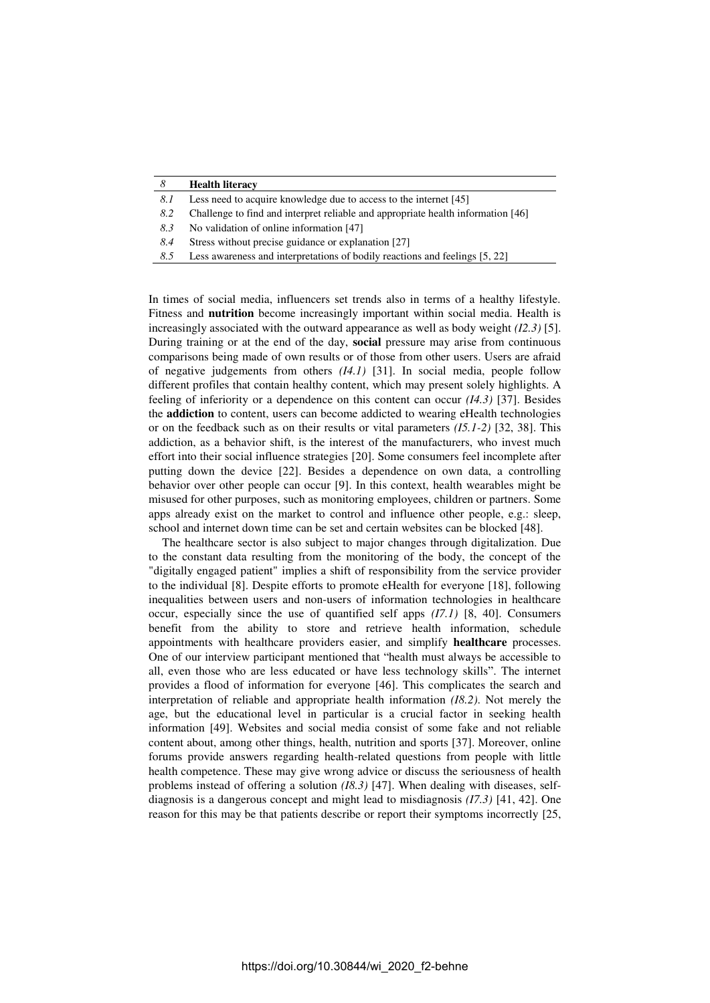| 8   | <b>Health literacy</b>                                                           |
|-----|----------------------------------------------------------------------------------|
| 8.I | Less need to acquire knowledge due to access to the internet [45]                |
| 8.2 | Challenge to find and interpret reliable and appropriate health information [46] |
| 8.3 | No validation of online information [47]                                         |
| 8.4 | Stress without precise guidance or explanation [27]                              |
| 8.5 | Less awareness and interpretations of bodily reactions and feelings [5, 22]      |

In times of social media, influencers set trends also in terms of a healthy lifestyle. Fitness and **nutrition** become increasingly important within social media. Health is increasingly associated with the outward appearance as well as body weight *(I2.3)* [5]. During training or at the end of the day, **social** pressure may arise from continuous comparisons being made of own results or of those from other users. Users are afraid of negative judgements from others *(I4.1)* [31]. In social media, people follow different profiles that contain healthy content, which may present solely highlights. A feeling of inferiority or a dependence on this content can occur *(I4.3)* [37]. Besides the **addiction** to content, users can become addicted to wearing eHealth technologies or on the feedback such as on their results or vital parameters *(I5.1-2)* [32, 38]. This addiction, as a behavior shift, is the interest of the manufacturers, who invest much effort into their social influence strategies [20]. Some consumers feel incomplete after putting down the device [22]. Besides a dependence on own data, a controlling behavior over other people can occur [9]. In this context, health wearables might be misused for other purposes, such as monitoring employees, children or partners. Some apps already exist on the market to control and influence other people, e.g.: sleep, school and internet down time can be set and certain websites can be blocked [48].

The healthcare sector is also subject to major changes through digitalization. Due to the constant data resulting from the monitoring of the body, the concept of the "digitally engaged patient" implies a shift of responsibility from the service provider to the individual [8]. Despite efforts to promote eHealth for everyone [18], following inequalities between users and non-users of information technologies in healthcare occur, especially since the use of quantified self apps *(I7.1)* [8, 40]. Consumers benefit from the ability to store and retrieve health information, schedule appointments with healthcare providers easier, and simplify **healthcare** processes. One of our interview participant mentioned that "health must always be accessible to all, even those who are less educated or have less technology skills". The internet provides a flood of information for everyone [46]. This complicates the search and interpretation of reliable and appropriate health information *(I8.2)*. Not merely the age, but the educational level in particular is a crucial factor in seeking health information [49]. Websites and social media consist of some fake and not reliable content about, among other things, health, nutrition and sports [37]. Moreover, online forums provide answers regarding health-related questions from people with little health competence. These may give wrong advice or discuss the seriousness of health problems instead of offering a solution *(I8.3)* [47]. When dealing with diseases, selfdiagnosis is a dangerous concept and might lead to misdiagnosis *(I7.3)* [41, 42]. One reason for this may be that patients describe or report their symptoms incorrectly [25,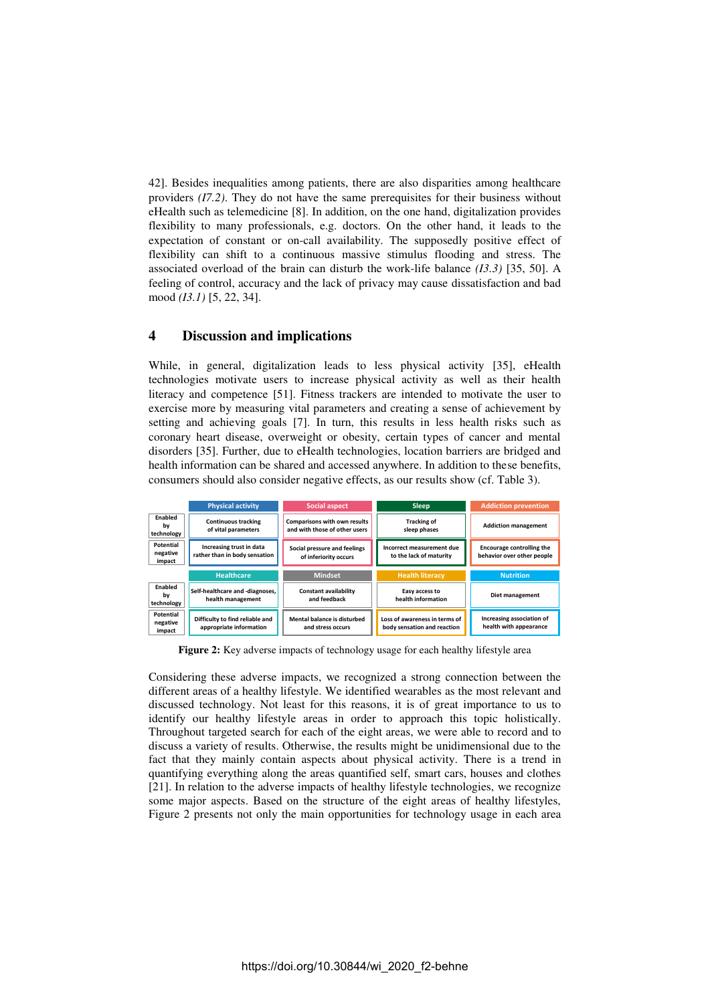42]. Besides inequalities among patients, there are also disparities among healthcare providers *(I7.2)*. They do not have the same prerequisites for their business without eHealth such as telemedicine [8]. In addition, on the one hand, digitalization provides flexibility to many professionals, e.g. doctors. On the other hand, it leads to the expectation of constant or on-call availability. The supposedly positive effect of flexibility can shift to a continuous massive stimulus flooding and stress. The associated overload of the brain can disturb the work-life balance *(I3.3)* [35, 50]. A feeling of control, accuracy and the lack of privacy may cause dissatisfaction and bad mood *(I3.1)* [5, 22, 34].

# **4 Discussion and implications**

While, in general, digitalization leads to less physical activity [35], eHealth technologies motivate users to increase physical activity as well as their health literacy and competence [51]. Fitness trackers are intended to motivate the user to exercise more by measuring vital parameters and creating a sense of achievement by setting and achieving goals [7]. In turn, this results in less health risks such as coronary heart disease, overweight or obesity, certain types of cancer and mental disorders [35]. Further, due to eHealth technologies, location barriers are bridged and health information can be shared and accessed anywhere. In addition to these benefits, consumers should also consider negative effects, as our results show (cf. [Table 3\)](#page-7-0).



**Figure 2:** Key adverse impacts of technology usage for each healthy lifestyle area

Considering these adverse impacts, we recognized a strong connection between the different areas of a healthy lifestyle. We identified wearables as the most relevant and discussed technology. Not least for this reasons, it is of great importance to us to identify our healthy lifestyle areas in order to approach this topic holistically. Throughout targeted search for each of the eight areas, we were able to record and to discuss a variety of results. Otherwise, the results might be unidimensional due to the fact that they mainly contain aspects about physical activity. There is a trend in quantifying everything along the areas quantified self, smart cars, houses and clothes [21]. In relation to the adverse impacts of healthy lifestyle technologies, we recognize some major aspects. Based on the structure of the eight areas of healthy lifestyles, Figure 2 presents not only the main opportunities for technology usage in each area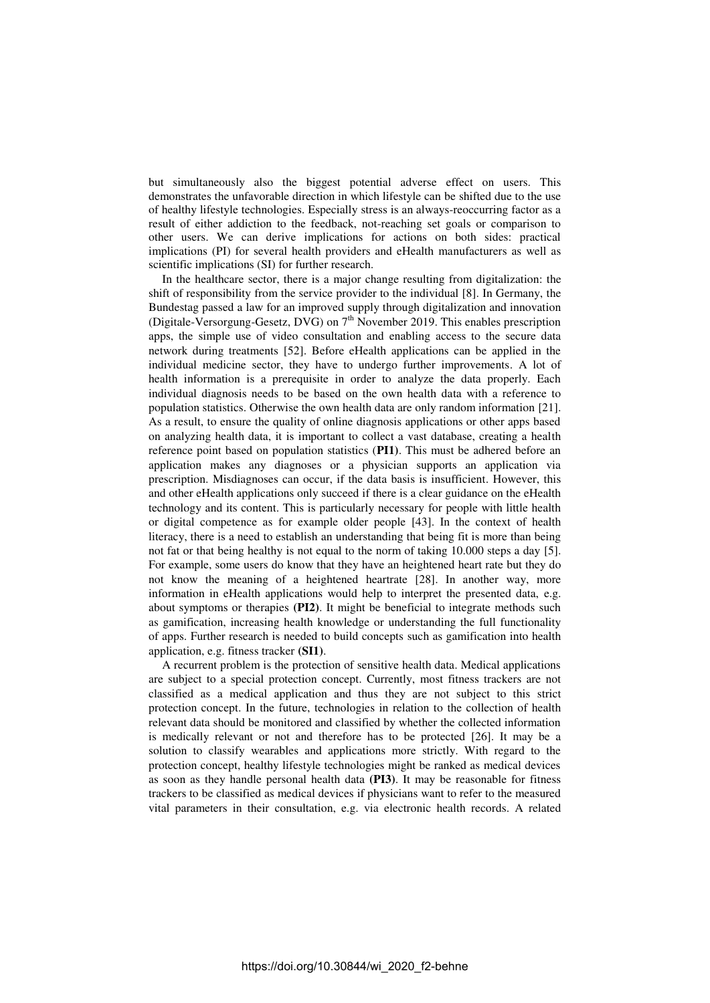but simultaneously also the biggest potential adverse effect on users. This demonstrates the unfavorable direction in which lifestyle can be shifted due to the use of healthy lifestyle technologies. Especially stress is an always-reoccurring factor as a result of either addiction to the feedback, not-reaching set goals or comparison to other users. We can derive implications for actions on both sides: practical implications (PI) for several health providers and eHealth manufacturers as well as scientific implications (SI) for further research.

In the healthcare sector, there is a major change resulting from digitalization: the shift of responsibility from the service provider to the individual [8]. In Germany, the Bundestag passed a law for an improved supply through digitalization and innovation (Digitale-Versorgung-Gesetz, DVG) on 7<sup>th</sup> November 2019. This enables prescription apps, the simple use of video consultation and enabling access to the secure data network during treatments [52]. Before eHealth applications can be applied in the individual medicine sector, they have to undergo further improvements. A lot of health information is a prerequisite in order to analyze the data properly. Each individual diagnosis needs to be based on the own health data with a reference to population statistics. Otherwise the own health data are only random information [21]. As a result, to ensure the quality of online diagnosis applications or other apps based on analyzing health data, it is important to collect a vast database, creating a health reference point based on population statistics (**PI1)**. This must be adhered before an application makes any diagnoses or a physician supports an application via prescription. Misdiagnoses can occur, if the data basis is insufficient. However, this and other eHealth applications only succeed if there is a clear guidance on the eHealth technology and its content. This is particularly necessary for people with little health or digital competence as for example older people [43]. In the context of health literacy, there is a need to establish an understanding that being fit is more than being not fat or that being healthy is not equal to the norm of taking 10.000 steps a day [5]. For example, some users do know that they have an heightened heart rate but they do not know the meaning of a heightened heartrate [28]. In another way, more information in eHealth applications would help to interpret the presented data, e.g. about symptoms or therapies **(PI2)**. It might be beneficial to integrate methods such as gamification, increasing health knowledge or understanding the full functionality of apps. Further research is needed to build concepts such as gamification into health application, e.g. fitness tracker **(SI1)**.

A recurrent problem is the protection of sensitive health data. Medical applications are subject to a special protection concept. Currently, most fitness trackers are not classified as a medical application and thus they are not subject to this strict protection concept. In the future, technologies in relation to the collection of health relevant data should be monitored and classified by whether the collected information is medically relevant or not and therefore has to be protected [26]. It may be a solution to classify wearables and applications more strictly. With regard to the protection concept, healthy lifestyle technologies might be ranked as medical devices as soon as they handle personal health data **(PI3)**. It may be reasonable for fitness trackers to be classified as medical devices if physicians want to refer to the measured vital parameters in their consultation, e.g. via electronic health records. A related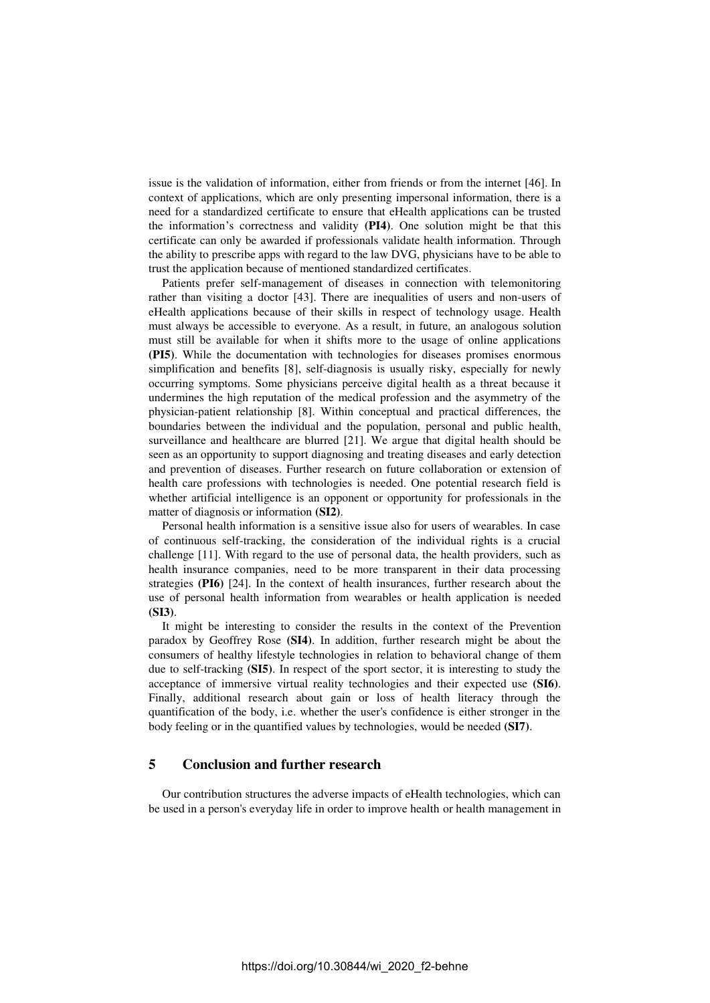issue is the validation of information, either from friends or from the internet [46]. In context of applications, which are only presenting impersonal information, there is a need for a standardized certificate to ensure that eHealth applications can be trusted the information's correctness and validity **(PI4)**. One solution might be that this certificate can only be awarded if professionals validate health information. Through the ability to prescribe apps with regard to the law DVG, physicians have to be able to trust the application because of mentioned standardized certificates.

Patients prefer self-management of diseases in connection with telemonitoring rather than visiting a doctor [43]. There are inequalities of users and non-users of eHealth applications because of their skills in respect of technology usage. Health must always be accessible to everyone. As a result, in future, an analogous solution must still be available for when it shifts more to the usage of online applications **(PI5)**. While the documentation with technologies for diseases promises enormous simplification and benefits [8], self-diagnosis is usually risky, especially for newly occurring symptoms. Some physicians perceive digital health as a threat because it undermines the high reputation of the medical profession and the asymmetry of the physician-patient relationship [8]. Within conceptual and practical differences, the boundaries between the individual and the population, personal and public health, surveillance and healthcare are blurred [21]. We argue that digital health should be seen as an opportunity to support diagnosing and treating diseases and early detection and prevention of diseases. Further research on future collaboration or extension of health care professions with technologies is needed. One potential research field is whether artificial intelligence is an opponent or opportunity for professionals in the matter of diagnosis or information **(SI2)**.

Personal health information is a sensitive issue also for users of wearables. In case of continuous self-tracking, the consideration of the individual rights is a crucial challenge [11]. With regard to the use of personal data, the health providers, such as health insurance companies, need to be more transparent in their data processing strategies **(PI6)** [24]. In the context of health insurances, further research about the use of personal health information from wearables or health application is needed **(SI3)**.

It might be interesting to consider the results in the context of the Prevention paradox by Geoffrey Rose **(SI4)**. In addition, further research might be about the consumers of healthy lifestyle technologies in relation to behavioral change of them due to self-tracking **(SI5)**. In respect of the sport sector, it is interesting to study the acceptance of immersive virtual reality technologies and their expected use **(SI6)**. Finally, additional research about gain or loss of health literacy through the quantification of the body, i.e. whether the user's confidence is either stronger in the body feeling or in the quantified values by technologies, would be needed **(SI7)**.

# **5 Conclusion and further research**

Our contribution structures the adverse impacts of eHealth technologies, which can be used in a person's everyday life in order to improve health or health management in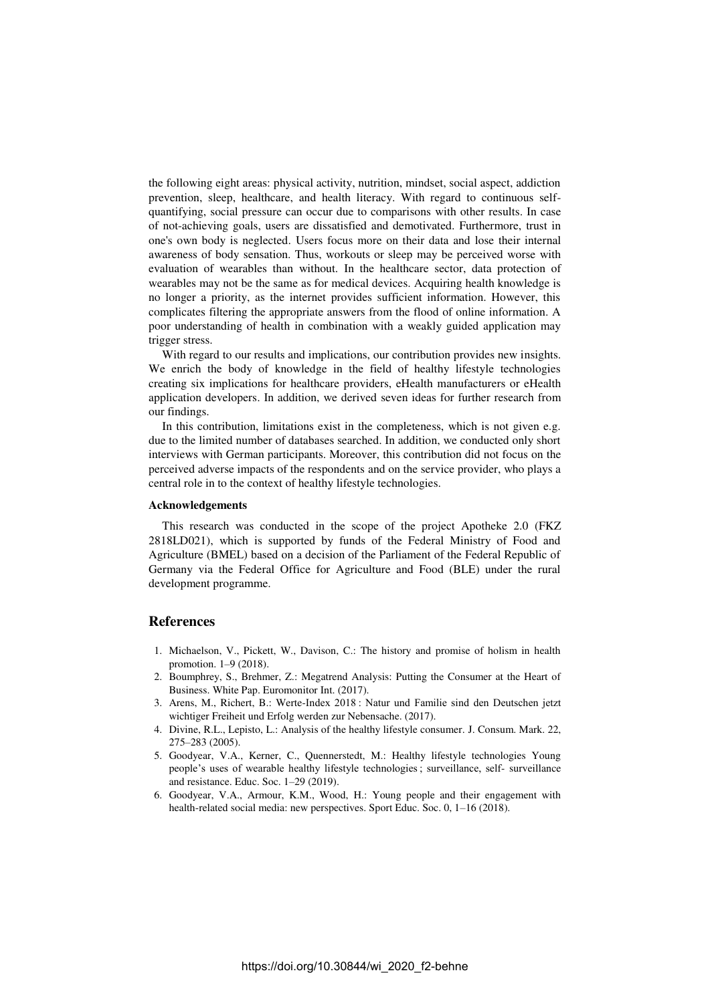the following eight areas: physical activity, nutrition, mindset, social aspect, addiction prevention, sleep, healthcare, and health literacy. With regard to continuous selfquantifying, social pressure can occur due to comparisons with other results. In case of not-achieving goals, users are dissatisfied and demotivated. Furthermore, trust in one's own body is neglected. Users focus more on their data and lose their internal awareness of body sensation. Thus, workouts or sleep may be perceived worse with evaluation of wearables than without. In the healthcare sector, data protection of wearables may not be the same as for medical devices. Acquiring health knowledge is no longer a priority, as the internet provides sufficient information. However, this complicates filtering the appropriate answers from the flood of online information. A poor understanding of health in combination with a weakly guided application may trigger stress.

With regard to our results and implications, our contribution provides new insights. We enrich the body of knowledge in the field of healthy lifestyle technologies creating six implications for healthcare providers, eHealth manufacturers or eHealth application developers. In addition, we derived seven ideas for further research from our findings.

In this contribution, limitations exist in the completeness, which is not given e.g. due to the limited number of databases searched. In addition, we conducted only short interviews with German participants. Moreover, this contribution did not focus on the perceived adverse impacts of the respondents and on the service provider, who plays a central role in to the context of healthy lifestyle technologies.

### **Acknowledgements**

This research was conducted in the scope of the project Apotheke 2.0 (FKZ 2818LD021), which is supported by funds of the Federal Ministry of Food and Agriculture (BMEL) based on a decision of the Parliament of the Federal Republic of Germany via the Federal Office for Agriculture and Food (BLE) under the rural development programme.

### **References**

- 1. Michaelson, V., Pickett, W., Davison, C.: The history and promise of holism in health promotion. 1–9 (2018).
- 2. Boumphrey, S., Brehmer, Z.: Megatrend Analysis: Putting the Consumer at the Heart of Business. White Pap. Euromonitor Int. (2017).
- 3. Arens, M., Richert, B.: Werte-Index 2018 : Natur und Familie sind den Deutschen jetzt wichtiger Freiheit und Erfolg werden zur Nebensache. (2017).
- 4. Divine, R.L., Lepisto, L.: Analysis of the healthy lifestyle consumer. J. Consum. Mark. 22, 275–283 (2005).
- 5. Goodyear, V.A., Kerner, C., Quennerstedt, M.: Healthy lifestyle technologies Young people's uses of wearable healthy lifestyle technologies ; surveillance, self- surveillance and resistance. Educ. Soc. 1–29 (2019).
- 6. Goodyear, V.A., Armour, K.M., Wood, H.: Young people and their engagement with health-related social media: new perspectives. Sport Educ. Soc. 0, 1-16 (2018).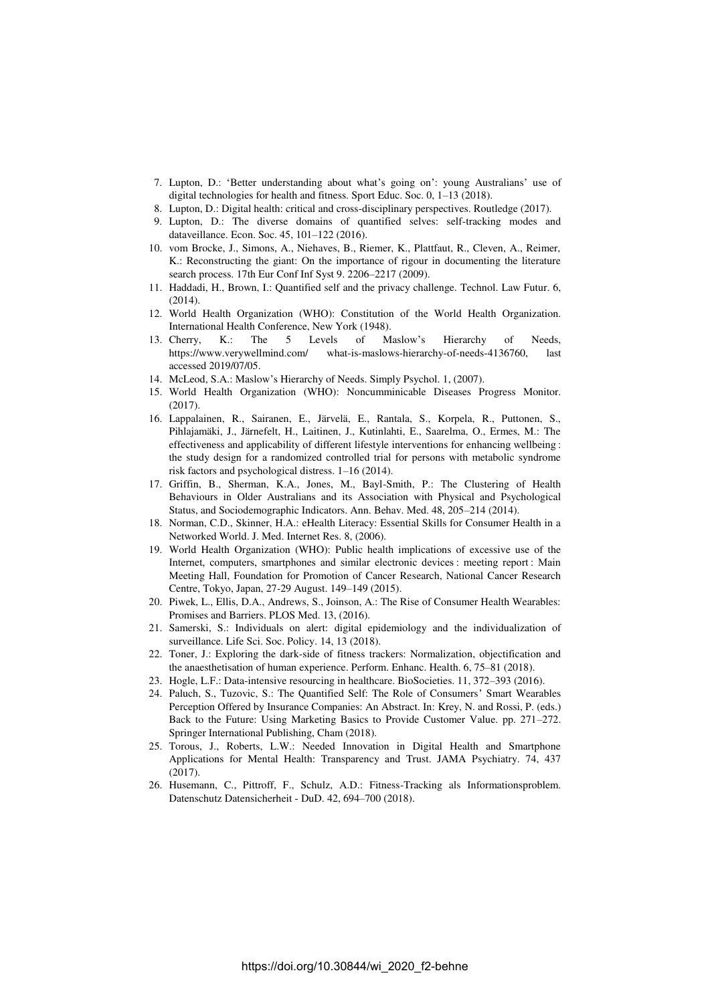- 7. Lupton, D.: 'Better understanding about what's going on': young Australians' use of digital technologies for health and fitness. Sport Educ. Soc. 0, 1–13 (2018).
- 8. Lupton, D.: Digital health: critical and cross-disciplinary perspectives. Routledge (2017).
- 9. Lupton, D.: The diverse domains of quantified selves: self-tracking modes and dataveillance. Econ. Soc. 45, 101–122 (2016).
- 10. vom Brocke, J., Simons, A., Niehaves, B., Riemer, K., Plattfaut, R., Cleven, A., Reimer, K.: Reconstructing the giant: On the importance of rigour in documenting the literature search process. 17th Eur Conf Inf Syst 9. 2206–2217 (2009).
- 11. Haddadi, H., Brown, I.: Quantified self and the privacy challenge. Technol. Law Futur. 6, (2014).
- 12. World Health Organization (WHO): Constitution of the World Health Organization. International Health Conference, New York (1948).
- 13. Cherry, K.: The 5 Levels of Maslow's Hierarchy of Needs, https://www.verywellmind.com/ what-is-maslows-hierarchy-of-needs-4136760, last accessed 2019/07/05.
- 14. McLeod, S.A.: Maslow's Hierarchy of Needs. Simply Psychol. 1, (2007).
- 15. World Health Organization (WHO): Noncumminicable Diseases Progress Monitor.  $(2017)$
- 16. Lappalainen, R., Sairanen, E., Järvelä, E., Rantala, S., Korpela, R., Puttonen, S., Pihlajamäki, J., Järnefelt, H., Laitinen, J., Kutinlahti, E., Saarelma, O., Ermes, M.: The effectiveness and applicability of different lifestyle interventions for enhancing wellbeing : the study design for a randomized controlled trial for persons with metabolic syndrome risk factors and psychological distress. 1–16 (2014).
- 17. Griffin, B., Sherman, K.A., Jones, M., Bayl-Smith, P.: The Clustering of Health Behaviours in Older Australians and its Association with Physical and Psychological Status, and Sociodemographic Indicators. Ann. Behav. Med. 48, 205–214 (2014).
- 18. Norman, C.D., Skinner, H.A.: eHealth Literacy: Essential Skills for Consumer Health in a Networked World. J. Med. Internet Res. 8, (2006).
- 19. World Health Organization (WHO): Public health implications of excessive use of the Internet, computers, smartphones and similar electronic devices : meeting report : Main Meeting Hall, Foundation for Promotion of Cancer Research, National Cancer Research Centre, Tokyo, Japan, 27-29 August. 149–149 (2015).
- 20. Piwek, L., Ellis, D.A., Andrews, S., Joinson, A.: The Rise of Consumer Health Wearables: Promises and Barriers. PLOS Med. 13, (2016).
- 21. Samerski, S.: Individuals on alert: digital epidemiology and the individualization of surveillance. Life Sci. Soc. Policy. 14, 13 (2018).
- 22. Toner, J.: Exploring the dark-side of fitness trackers: Normalization, objectification and the anaesthetisation of human experience. Perform. Enhanc. Health. 6, 75–81 (2018).
- 23. Hogle, L.F.: Data-intensive resourcing in healthcare. BioSocieties. 11, 372–393 (2016).
- 24. Paluch, S., Tuzovic, S.: The Quantified Self: The Role of Consumers' Smart Wearables Perception Offered by Insurance Companies: An Abstract. In: Krey, N. and Rossi, P. (eds.) Back to the Future: Using Marketing Basics to Provide Customer Value. pp. 271–272. Springer International Publishing, Cham (2018).
- 25. Torous, J., Roberts, L.W.: Needed Innovation in Digital Health and Smartphone Applications for Mental Health: Transparency and Trust. JAMA Psychiatry. 74, 437 (2017).
- 26. Husemann, C., Pittroff, F., Schulz, A.D.: Fitness-Tracking als Informationsproblem. Datenschutz Datensicherheit - DuD. 42, 694–700 (2018).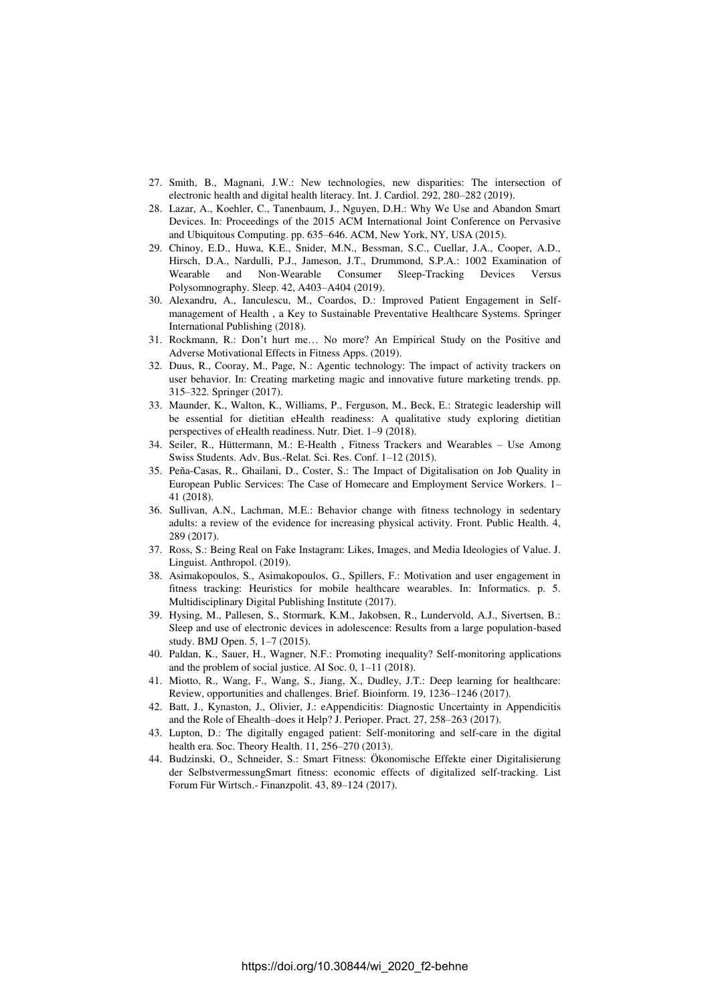- 27. Smith, B., Magnani, J.W.: New technologies, new disparities: The intersection of electronic health and digital health literacy. Int. J. Cardiol. 292, 280–282 (2019).
- 28. Lazar, A., Koehler, C., Tanenbaum, J., Nguyen, D.H.: Why We Use and Abandon Smart Devices. In: Proceedings of the 2015 ACM International Joint Conference on Pervasive and Ubiquitous Computing. pp. 635–646. ACM, New York, NY, USA (2015).
- 29. Chinoy, E.D., Huwa, K.E., Snider, M.N., Bessman, S.C., Cuellar, J.A., Cooper, A.D., Hirsch, D.A., Nardulli, P.J., Jameson, J.T., Drummond, S.P.A.: 1002 Examination of Wearable and Non-Wearable Consumer Sleep-Tracking Devices Versus Polysomnography. Sleep. 42, A403–A404 (2019).
- 30. Alexandru, A., Ianculescu, M., Coardos, D.: Improved Patient Engagement in Selfmanagement of Health , a Key to Sustainable Preventative Healthcare Systems. Springer International Publishing (2018).
- 31. Rockmann, R.: Don't hurt me… No more? An Empirical Study on the Positive and Adverse Motivational Effects in Fitness Apps. (2019).
- 32. Duus, R., Cooray, M., Page, N.: Agentic technology: The impact of activity trackers on user behavior. In: Creating marketing magic and innovative future marketing trends. pp. 315–322. Springer (2017).
- 33. Maunder, K., Walton, K., Williams, P., Ferguson, M., Beck, E.: Strategic leadership will be essential for dietitian eHealth readiness: A qualitative study exploring dietitian perspectives of eHealth readiness. Nutr. Diet. 1–9 (2018).
- 34. Seiler, R., Hüttermann, M.: E-Health , Fitness Trackers and Wearables Use Among Swiss Students. Adv. Bus.-Relat. Sci. Res. Conf. 1–12 (2015).
- 35. Peña-Casas, R., Ghailani, D., Coster, S.: The Impact of Digitalisation on Job Quality in European Public Services: The Case of Homecare and Employment Service Workers. 1– 41 (2018).
- 36. Sullivan, A.N., Lachman, M.E.: Behavior change with fitness technology in sedentary adults: a review of the evidence for increasing physical activity. Front. Public Health. 4, 289 (2017).
- 37. Ross, S.: Being Real on Fake Instagram: Likes, Images, and Media Ideologies of Value. J. Linguist. Anthropol. (2019).
- 38. Asimakopoulos, S., Asimakopoulos, G., Spillers, F.: Motivation and user engagement in fitness tracking: Heuristics for mobile healthcare wearables. In: Informatics. p. 5. Multidisciplinary Digital Publishing Institute (2017).
- 39. Hysing, M., Pallesen, S., Stormark, K.M., Jakobsen, R., Lundervold, A.J., Sivertsen, B.: Sleep and use of electronic devices in adolescence: Results from a large population-based study. BMJ Open. 5, 1–7 (2015).
- 40. Paldan, K., Sauer, H., Wagner, N.F.: Promoting inequality? Self-monitoring applications and the problem of social justice. AI Soc. 0, 1–11 (2018).
- 41. Miotto, R., Wang, F., Wang, S., Jiang, X., Dudley, J.T.: Deep learning for healthcare: Review, opportunities and challenges. Brief. Bioinform. 19, 1236–1246 (2017).
- 42. Batt, J., Kynaston, J., Olivier, J.: eAppendicitis: Diagnostic Uncertainty in Appendicitis and the Role of Ehealth–does it Help? J. Perioper. Pract. 27, 258–263 (2017).
- 43. Lupton, D.: The digitally engaged patient: Self-monitoring and self-care in the digital health era. Soc. Theory Health. 11, 256–270 (2013).
- 44. Budzinski, O., Schneider, S.: Smart Fitness: Ökonomische Effekte einer Digitalisierung der SelbstvermessungSmart fitness: economic effects of digitalized self-tracking. List Forum Für Wirtsch.- Finanzpolit. 43, 89–124 (2017).